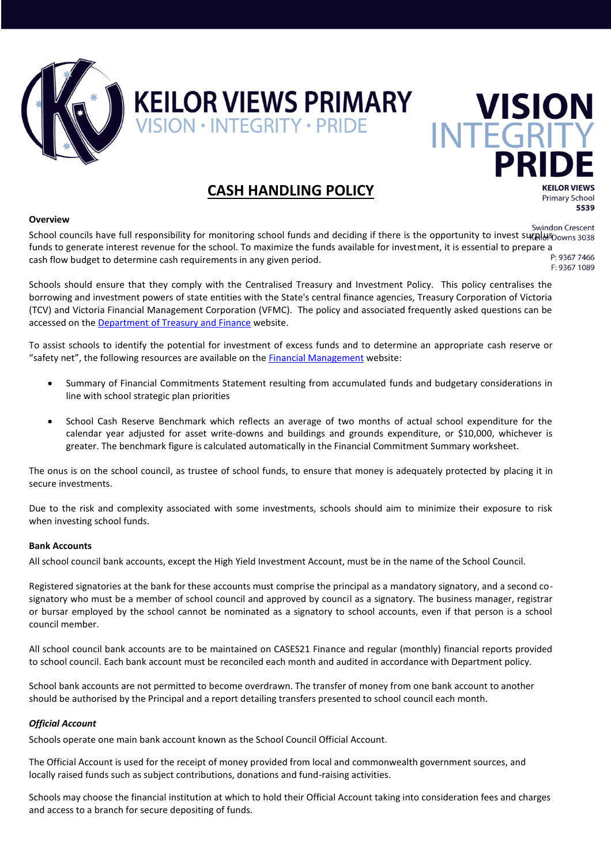

# **KEILOR VIEWS PRIMARY VISION**<br>VISION · INTEGRITY · PRIDE INTEGRITY

#### **CASH HANDLING POLICY**

#### **Overview**

**Primary School** 5539

**KEILOR VIEWS** 

**Swindon Crescent** School councils have full responsibility for monitoring school funds and deciding if there is the opportunity to invest surallus Downs 3038 funds to generate interest revenue for the school. To maximize the funds available for investment, it is essential to prepare a cash flow budget to determine cash requirements in any given period. F: 9367 1089

Schools should ensure that they comply with the Centralised Treasury and Investment Policy. This policy centralises the borrowing and investment powers of state entities with the State's central finance agencies, Treasury Corporation of Victoria (TCV) and Victoria Financial Management Corporation (VFMC). The policy and associated frequently asked questions can be accessed on th[e Department of Treasury and Finance](http://www.dtf.vic.gov.au/Publications/Victoria-Economy-publications/Centralised-treasury-and-investment-policy) website.

To assist schools to identify the potential for investment of excess funds and to determine an appropriate cash reserve or "safety net", the following resources are available on the **[Financial Management](http://www.education.vic.gov.au/management/financial/policy.htm)** website:

- Summary of Financial Commitments Statement resulting from accumulated funds and budgetary considerations in line with school strategic plan priorities
- School Cash Reserve Benchmark which reflects an average of two months of actual school expenditure for the calendar year adjusted for asset write-downs and buildings and grounds expenditure, or \$10,000, whichever is greater. The benchmark figure is calculated automatically in the Financial Commitment Summary worksheet.

The onus is on the school council, as trustee of school funds, to ensure that money is adequately protected by placing it in secure investments.

Due to the risk and complexity associated with some investments, schools should aim to minimize their exposure to risk when investing school funds.

#### **Bank Accounts**

All school council bank accounts, except the High Yield Investment Account, must be in the name of the School Council.

Registered signatories at the bank for these accounts must comprise the principal as a mandatory signatory, and a second cosignatory who must be a member of school council and approved by council as a signatory. The business manager, registrar or bursar employed by the school cannot be nominated as a signatory to school accounts, even if that person is a school council member.

All school council bank accounts are to be maintained on CASES21 Finance and regular (monthly) financial reports provided to school council. Each bank account must be reconciled each month and audited in accordance with Department policy.

School bank accounts are not permitted to become overdrawn. The transfer of money from one bank account to another should be authorised by the Principal and a report detailing transfers presented to school council each month.

#### *Official Account*

Schools operate one main bank account known as the School Council Official Account.

The Official Account is used for the receipt of money provided from local and commonwealth government sources, and locally raised funds such as subject contributions, donations and fund-raising activities.

Schools may choose the financial institution at which to hold their Official Account taking into consideration fees and charges and access to a branch for secure depositing of funds.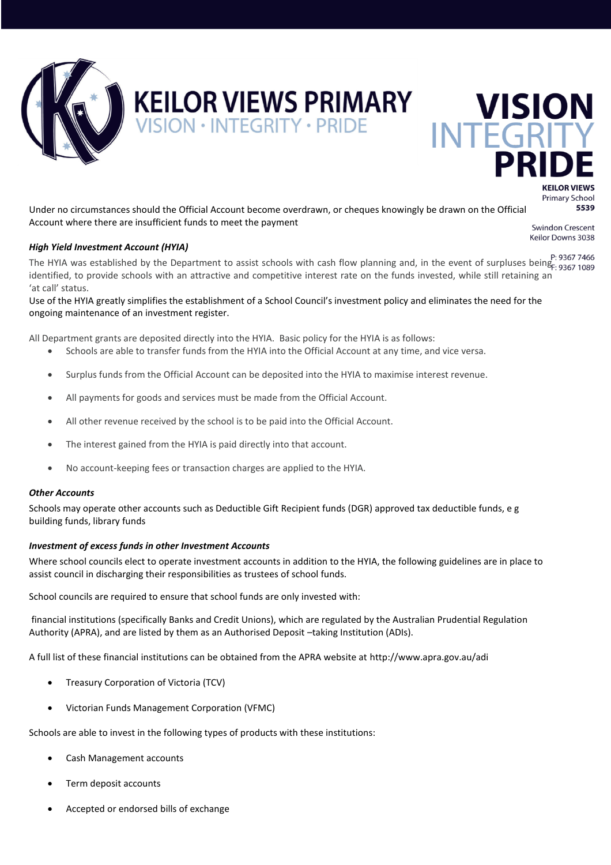

### **KEILOR VIEWS PRIMARY**

 $SION \cdot INTEGRITY \cdot PRIDE$ 

### **VISION INTEGR**

**KEILOR VIEWS Primary School** 5539

Under no circumstances should the Official Account become overdrawn, or cheques knowingly be drawn on the Official Account where there are insufficient funds to meet the payment

#### *High Yield Investment Account (HYIA)*

**Swindon Crescent** Keilor Downs 3038

P: 9367 7466.<br>The HYIA was established by the Department to assist schools with cash flow planning and, in the event of surpluses being- 9367 1089 identified, to provide schools with an attractive and competitive interest rate on the funds invested, while still retaining an 'at call' status.

Use of the HYIA greatly simplifies the establishment of a School Council's investment policy and eliminates the need for the ongoing maintenance of an investment register.

All Department grants are deposited directly into the HYIA. Basic policy for the HYIA is as follows:

- Schools are able to transfer funds from the HYIA into the Official Account at any time, and vice versa.
- Surplus funds from the Official Account can be deposited into the HYIA to maximise interest revenue.
- All payments for goods and services must be made from the Official Account.
- All other revenue received by the school is to be paid into the Official Account.
- The interest gained from the HYIA is paid directly into that account.
- No account-keeping fees or transaction charges are applied to the HYIA.

#### *Other Accounts*

Schools may operate other accounts such as Deductible Gift Recipient funds (DGR) approved tax deductible funds, e g building funds, library funds

#### *Investment of excess funds in other Investment Accounts*

Where school councils elect to operate investment accounts in addition to the HYIA, the following guidelines are in place to assist council in discharging their responsibilities as trustees of school funds.

School councils are required to ensure that school funds are only invested with:

financial institutions (specifically Banks and Credit Unions), which are regulated by the Australian Prudential Regulation Authority (APRA), and are listed by them as an Authorised Deposit –taking Institution (ADIs).

A full list of these financial institutions can be obtained from the APRA website at<http://www.apra.gov.au/adi>

- Treasury Corporation of Victoria (TCV)
- Victorian Funds Management Corporation (VFMC)

Schools are able to invest in the following types of products with these institutions:

- Cash Management accounts
- Term deposit accounts
- Accepted or endorsed bills of exchange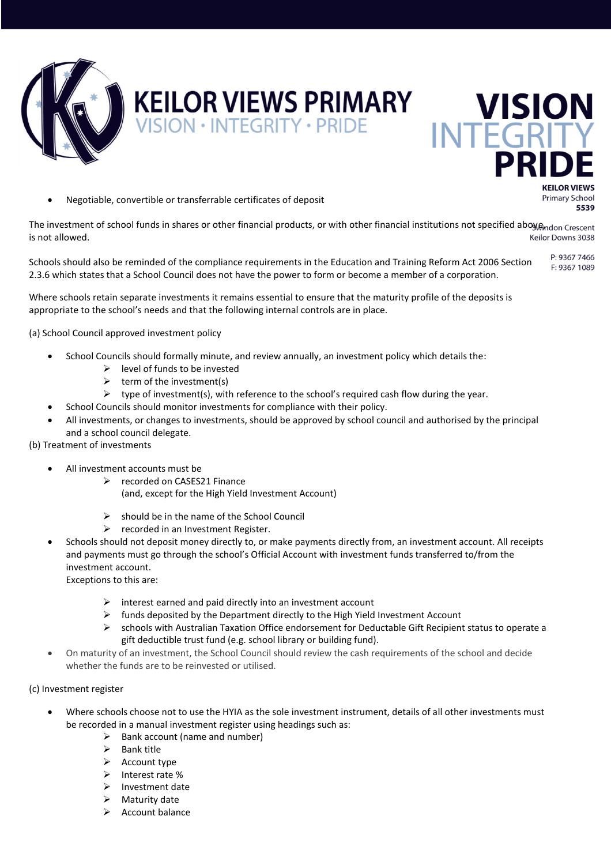

## **KEILOR VIEWS PRIMARY WISION**

Negotiable, convertible or transferrable certificates of deposit

**KEILOR VIEWS Primary School** 5539

The investment of school funds in shares or other financial products, or with other financial institutions not specified aboy@ndon Crescent is not allowed. Keilor Downs 3038

P: 9367 7466 Schools should also be reminded of the compliance requirements in the Education and Training Reform Act 2006 Section F: 9367 1089 2.3.6 which states that a School Council does not have the power to form or become a member of a corporation.

Where schools retain separate investments it remains essential to ensure that the maturity profile of the deposits is appropriate to the school's needs and that the following internal controls are in place.

(a) School Council approved investment policy

- School Councils should formally minute, and review annually, an investment policy which details the:
	- $\triangleright$  level of funds to be invested
		- $\triangleright$  term of the investment(s)
	- $\triangleright$  type of investment(s), with reference to the school's required cash flow during the year.
	- School Councils should monitor investments for compliance with their policy.
- All investments, or changes to investments, should be approved by school council and authorised by the principal and a school council delegate.

#### (b) Treatment of investments

- All investment accounts must be
	- ▶ recorded on CASES21 Finance (and, except for the High Yield Investment Account)
	- $\triangleright$  should be in the name of the School Council
	- $\triangleright$  recorded in an Investment Register.
- Schools should not deposit money directly to, or make payments directly from, an investment account. All receipts and payments must go through the school's Official Account with investment funds transferred to/from the investment account.

Exceptions to this are:

- $\triangleright$  interest earned and paid directly into an investment account
- $\triangleright$  funds deposited by the Department directly to the High Yield Investment Account
- schools with Australian Taxation Office endorsement for Deductable Gift Recipient status to operate a gift deductible trust fund (e.g. school library or building fund).
- On maturity of an investment, the School Council should review the cash requirements of the school and decide whether the funds are to be reinvested or utilised.

#### (c) Investment register

- Where schools choose not to use the HYIA as the sole investment instrument, details of all other investments must be recorded in a manual investment register using headings such as:
	- $\triangleright$  Bank account (name and number)
	- $\triangleright$  Bank title
	- $\triangleright$  Account type
	- $\triangleright$  Interest rate %
	- $\triangleright$  Investment date
	- $\triangleright$  Maturity date
	- $\triangleright$  Account balance